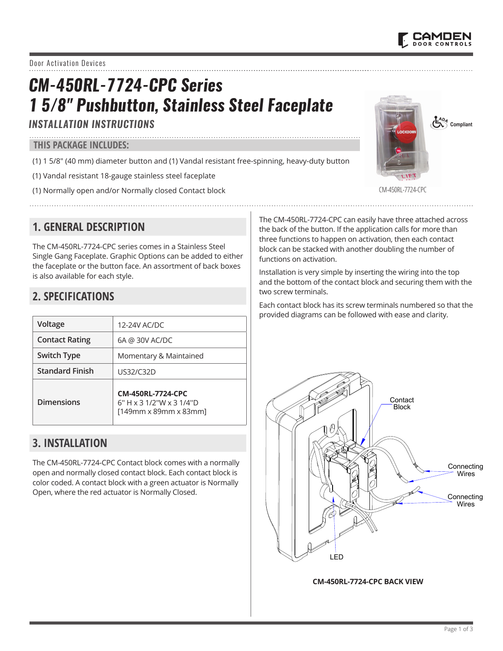#### Door Activation Devices

# *CM-450RL-7724-CPC Series 1 5/8" Pushbutton, Stainless Steel Faceplate*

### *INSTALLATION INSTRUCTIONS*

#### **THIS PACKAGE INCLUDES:**

(1) 1 5/8" (40 mm) diameter button and (1) Vandal resistant free-spinning, heavy-duty button

(1) Vandal resistant 18-gauge stainless steel faceplate

(1) Normally open and/or Normally closed Contact block

## **1. GENERAL DESCRIPTION**

The CM-450RL-7724-CPC series comes in a Stainless Steel Single Gang Faceplate. Graphic Options can be added to either the faceplate or the button face. An assortment of back boxes is also available for each style.

### **2. SPECIFICATIONS**

| Voltage                | 12-24V AC/DC                                                                     |  |
|------------------------|----------------------------------------------------------------------------------|--|
| <b>Contact Rating</b>  | 6A @ 30V AC/DC                                                                   |  |
| <b>Switch Type</b>     | Momentary & Maintained                                                           |  |
| <b>Standard Finish</b> | US32/C32D                                                                        |  |
| <b>Dimensions</b>      | <b>CM-450RL-7724-CPC</b><br>6" H x 3 1/2"W x 3 1/4"D<br>$[149$ mm x 89mm x 83mm] |  |

# **3. INSTALLATION**

The CM-450RL-7724-CPC Contact block comes with a normally open and normally closed contact block. Each contact block is color coded. A contact block with a green actuator is Normally Open, where the red actuator is Normally Closed.

The CM-450RL-7724-CPC can easily have three attached across the back of the button. If the application calls for more than three functions to happen on activation, then each contact block can be stacked with another doubling the number of functions on activation.

Installation is very simple by inserting the wiring into the top and the bottom of the contact block and securing them with the two screw terminals.

Each contact block has its screw terminals numbered so that the provided diagrams can be followed with ease and clarity.



**CM-450RL-7724-CPC BACK VIEW** 

CM-450RL-7724-CPC

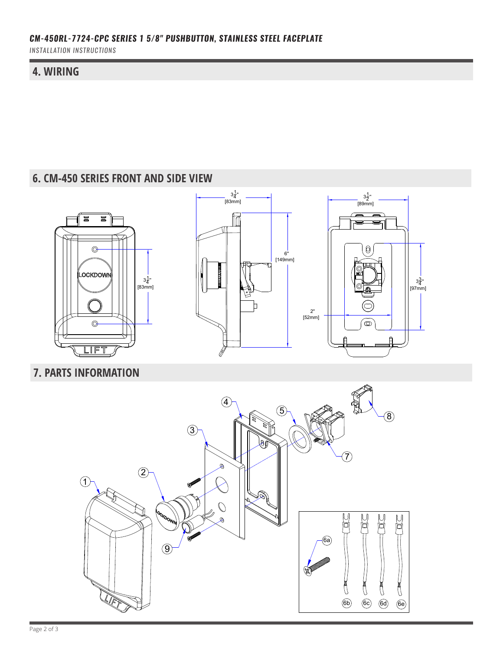*INSTALLATION INSTRUCTIONS*

### **4. WIRING**

### **6. CM-450 SERIES FRONT AND SIDE VIEW**





# **7. PARTS INFORMATION**